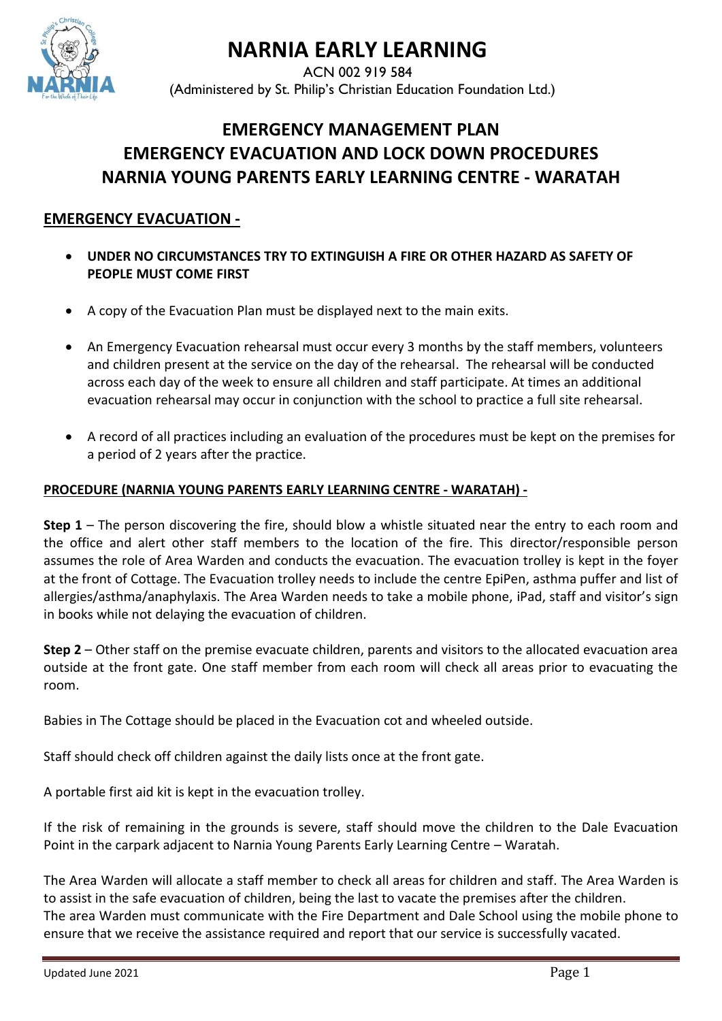

# **NARNIA EARLY LEARNING**

ACN 002 919 584 (Administered by St. Philip's Christian Education Foundation Ltd.)

# **EMERGENCY MANAGEMENT PLAN EMERGENCY EVACUATION AND LOCK DOWN PROCEDURES NARNIA YOUNG PARENTS EARLY LEARNING CENTRE - WARATAH**

## **EMERGENCY EVACUATION -**

- **UNDER NO CIRCUMSTANCES TRY TO EXTINGUISH A FIRE OR OTHER HAZARD AS SAFETY OF PEOPLE MUST COME FIRST**
- A copy of the Evacuation Plan must be displayed next to the main exits.
- An Emergency Evacuation rehearsal must occur every 3 months by the staff members, volunteers and children present at the service on the day of the rehearsal. The rehearsal will be conducted across each day of the week to ensure all children and staff participate. At times an additional evacuation rehearsal may occur in conjunction with the school to practice a full site rehearsal.
- A record of all practices including an evaluation of the procedures must be kept on the premises for a period of 2 years after the practice.

#### **PROCEDURE (NARNIA YOUNG PARENTS EARLY LEARNING CENTRE - WARATAH) -**

**Step 1** – The person discovering the fire, should blow a whistle situated near the entry to each room and the office and alert other staff members to the location of the fire. This director/responsible person assumes the role of Area Warden and conducts the evacuation. The evacuation trolley is kept in the foyer at the front of Cottage. The Evacuation trolley needs to include the centre EpiPen, asthma puffer and list of allergies/asthma/anaphylaxis. The Area Warden needs to take a mobile phone, iPad, staff and visitor's sign in books while not delaying the evacuation of children.

**Step 2** – Other staff on the premise evacuate children, parents and visitors to the allocated evacuation area outside at the front gate. One staff member from each room will check all areas prior to evacuating the room.

Babies in The Cottage should be placed in the Evacuation cot and wheeled outside.

Staff should check off children against the daily lists once at the front gate.

A portable first aid kit is kept in the evacuation trolley.

If the risk of remaining in the grounds is severe, staff should move the children to the Dale Evacuation Point in the carpark adjacent to Narnia Young Parents Early Learning Centre – Waratah.

The Area Warden will allocate a staff member to check all areas for children and staff. The Area Warden is to assist in the safe evacuation of children, being the last to vacate the premises after the children. The area Warden must communicate with the Fire Department and Dale School using the mobile phone to ensure that we receive the assistance required and report that our service is successfully vacated.